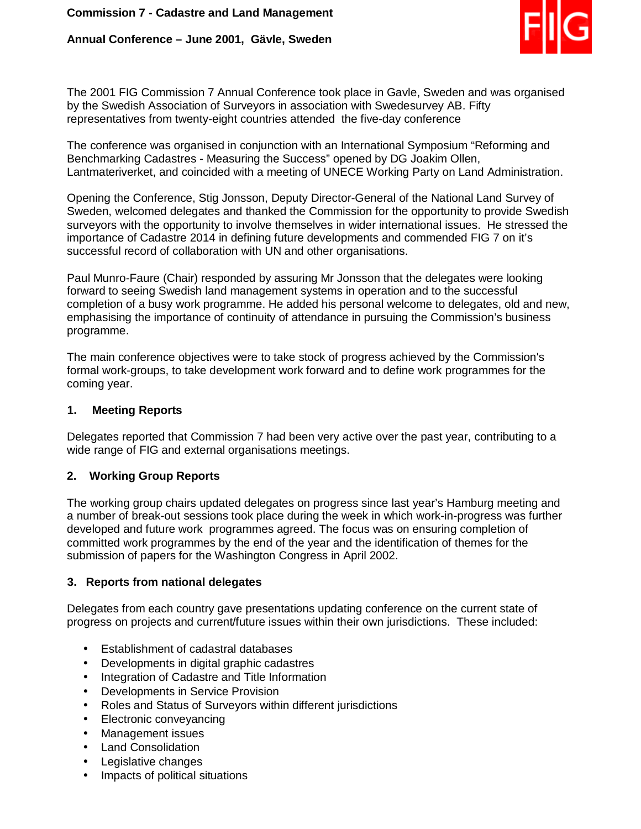# **Annual Conference – June 2001, Gävle, Sweden**



The 2001 FIG Commission 7 Annual Conference took place in Gavle, Sweden and was organised by the Swedish Association of Surveyors in association with Swedesurvey AB. Fifty representatives from twenty-eight countries attended the five-day conference

The conference was organised in conjunction with an International Symposium "Reforming and Benchmarking Cadastres - Measuring the Success" opened by DG Joakim Ollen, Lantmateriverket, and coincided with a meeting of UNECE Working Party on Land Administration.

Opening the Conference, Stig Jonsson, Deputy Director-General of the National Land Survey of Sweden, welcomed delegates and thanked the Commission for the opportunity to provide Swedish surveyors with the opportunity to involve themselves in wider international issues. He stressed the importance of Cadastre 2014 in defining future developments and commended FIG 7 on it's successful record of collaboration with UN and other organisations.

Paul Munro-Faure (Chair) responded by assuring Mr Jonsson that the delegates were looking forward to seeing Swedish land management systems in operation and to the successful completion of a busy work programme. He added his personal welcome to delegates, old and new, emphasising the importance of continuity of attendance in pursuing the Commission's business programme.

The main conference objectives were to take stock of progress achieved by the Commission's formal work-groups, to take development work forward and to define work programmes for the coming year.

### **1. Meeting Reports**

Delegates reported that Commission 7 had been very active over the past year, contributing to a wide range of FIG and external organisations meetings.

## **2. Working Group Reports**

The working group chairs updated delegates on progress since last year's Hamburg meeting and a number of break-out sessions took place during the week in which work-in-progress was further developed and future work programmes agreed. The focus was on ensuring completion of committed work programmes by the end of the year and the identification of themes for the submission of papers for the Washington Congress in April 2002.

#### **3. Reports from national delegates**

Delegates from each country gave presentations updating conference on the current state of progress on projects and current/future issues within their own jurisdictions. These included:

- Establishment of cadastral databases
- Developments in digital graphic cadastres
- Integration of Cadastre and Title Information
- Developments in Service Provision
- Roles and Status of Surveyors within different jurisdictions
- Electronic conveyancing
- Management issues
- Land Consolidation
- Legislative changes
- Impacts of political situations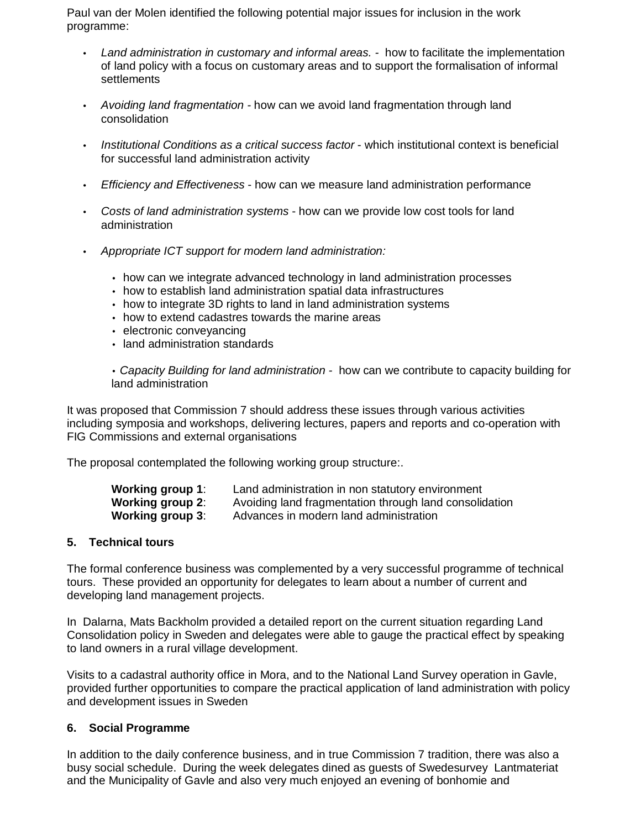Paul van der Molen identified the following potential major issues for inclusion in the work programme:

- Land administration in customary and informal areas. how to facilitate the implementation of land policy with a focus on customary areas and to support the formalisation of informal **settlements**
- Avoiding land fragmentation how can we avoid land fragmentation through land consolidation
- Institutional Conditions as a critical success factor which institutional context is beneficial for successful land administration activity
- Efficiency and Effectiveness how can we measure land administration performance
- Costs of land administration systems how can we provide low cost tools for land administration
- Appropriate ICT support for modern land administration:
	- how can we integrate advanced technology in land administration processes
	- how to establish land administration spatial data infrastructures
	- how to integrate 3D rights to land in land administration systems
	- how to extend cadastres towards the marine areas
	- electronic conveyancing
	- land administration standards

• Capacity Building for land administration - how can we contribute to capacity building for land administration

It was proposed that Commission 7 should address these issues through various activities including symposia and workshops, delivering lectures, papers and reports and co-operation with FIG Commissions and external organisations

The proposal contemplated the following working group structure:.

| Working group 1: | Land administration in non statutory environment       |
|------------------|--------------------------------------------------------|
| Working group 2: | Avoiding land fragmentation through land consolidation |
| Working group 3: | Advances in modern land administration                 |

#### **5. Technical tours**

The formal conference business was complemented by a very successful programme of technical tours. These provided an opportunity for delegates to learn about a number of current and developing land management projects.

In Dalarna, Mats Backholm provided a detailed report on the current situation regarding Land Consolidation policy in Sweden and delegates were able to gauge the practical effect by speaking to land owners in a rural village development.

Visits to a cadastral authority office in Mora, and to the National Land Survey operation in Gavle, provided further opportunities to compare the practical application of land administration with policy and development issues in Sweden

## **6. Social Programme**

In addition to the daily conference business, and in true Commission 7 tradition, there was also a busy social schedule. During the week delegates dined as guests of Swedesurvey Lantmateriat and the Municipality of Gavle and also very much enjoyed an evening of bonhomie and